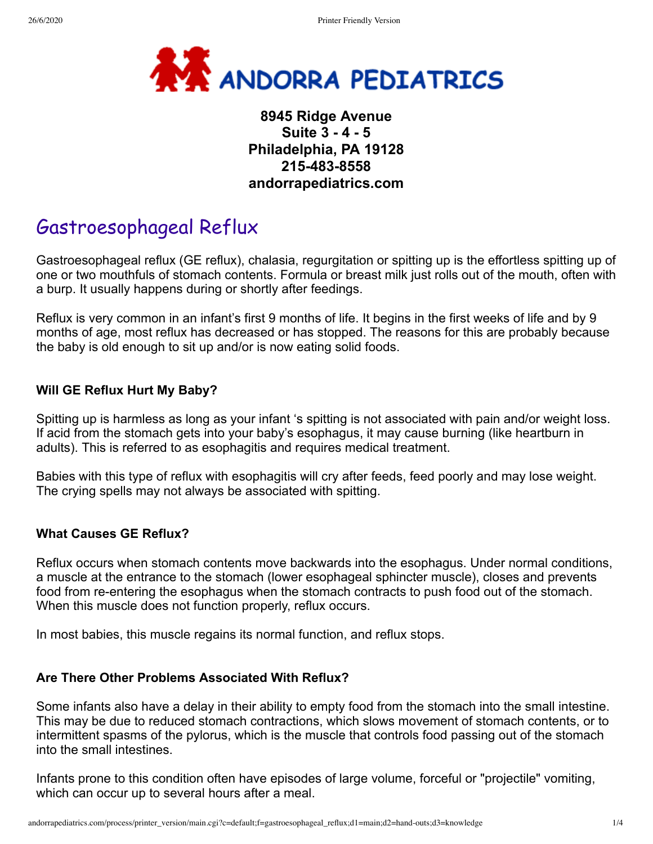

## **8945 Ridge Avenue Suite 3 - 4 - 5 Philadelphia, PA 19128 215-483-8558 andorrapediatrics.com**

# Gastroesophageal Reflux

Gastroesophageal reflux (GE reflux), chalasia, regurgitation or spitting up is the effortless spitting up of one or two mouthfuls of stomach contents. Formula or breast milk just rolls out of the mouth, often with a burp. It usually happens during or shortly after feedings.

Reflux is very common in an infant's first 9 months of life. It begins in the first weeks of life and by 9 months of age, most reflux has decreased or has stopped. The reasons for this are probably because the baby is old enough to sit up and/or is now eating solid foods.

### **Will GE Reflux Hurt My Baby?**

Spitting up is harmless as long as your infant 's spitting is not associated with pain and/or weight loss. If acid from the stomach gets into your baby's esophagus, it may cause burning (like heartburn in adults). This is referred to as esophagitis and requires medical treatment.

Babies with this type of reflux with esophagitis will cry after feeds, feed poorly and may lose weight. The crying spells may not always be associated with spitting.

### **What Causes GE Reflux?**

Reflux occurs when stomach contents move backwards into the esophagus. Under normal conditions, a muscle at the entrance to the stomach (lower esophageal sphincter muscle), closes and prevents food from re-entering the esophagus when the stomach contracts to push food out of the stomach. When this muscle does not function properly, reflux occurs.

In most babies, this muscle regains its normal function, and reflux stops.

#### **Are There Other Problems Associated With Reflux?**

Some infants also have a delay in their ability to empty food from the stomach into the small intestine. This may be due to reduced stomach contractions, which slows movement of stomach contents, or to intermittent spasms of the pylorus, which is the muscle that controls food passing out of the stomach into the small intestines.

Infants prone to this condition often have episodes of large volume, forceful or "projectile" vomiting, which can occur up to several hours after a meal.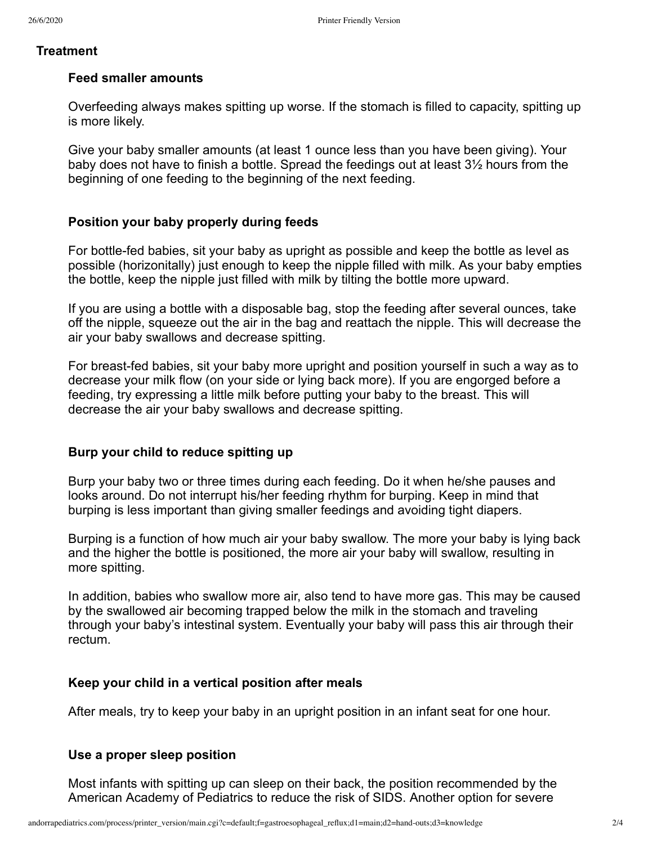#### **Treatment**

#### **Feed smaller amounts**

Overfeeding always makes spitting up worse. If the stomach is filled to capacity, spitting up is more likely.

Give your baby smaller amounts (at least 1 ounce less than you have been giving). Your baby does not have to finish a bottle. Spread the feedings out at least 3½ hours from the beginning of one feeding to the beginning of the next feeding.

## **Position your baby properly during feeds**

For bottle-fed babies, sit your baby as upright as possible and keep the bottle as level as possible (horizonitally) just enough to keep the nipple filled with milk. As your baby empties the bottle, keep the nipple just filled with milk by tilting the bottle more upward.

If you are using a bottle with a disposable bag, stop the feeding after several ounces, take off the nipple, squeeze out the air in the bag and reattach the nipple. This will decrease the air your baby swallows and decrease spitting.

For breast-fed babies, sit your baby more upright and position yourself in such a way as to decrease your milk flow (on your side or lying back more). If you are engorged before a feeding, try expressing a little milk before putting your baby to the breast. This will decrease the air your baby swallows and decrease spitting.

## **Burp your child to reduce spitting up**

Burp your baby two or three times during each feeding. Do it when he/she pauses and looks around. Do not interrupt his/her feeding rhythm for burping. Keep in mind that burping is less important than giving smaller feedings and avoiding tight diapers.

Burping is a function of how much air your baby swallow. The more your baby is lying back and the higher the bottle is positioned, the more air your baby will swallow, resulting in more spitting.

In addition, babies who swallow more air, also tend to have more gas. This may be caused by the swallowed air becoming trapped below the milk in the stomach and traveling through your baby's intestinal system. Eventually your baby will pass this air through their rectum.

#### **Keep your child in a vertical position after meals**

After meals, try to keep your baby in an upright position in an infant seat for one hour.

#### **Use a proper sleep position**

Most infants with spitting up can sleep on their back, the position recommended by the American Academy of Pediatrics to reduce the risk of SIDS. Another option for severe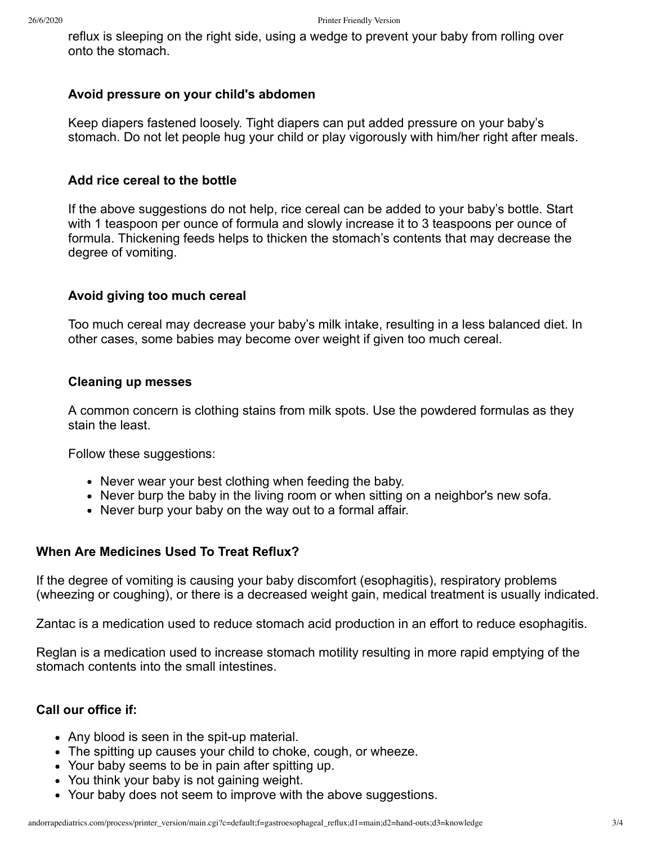reflux is sleeping on the right side, using a wedge to prevent your baby from rolling over onto the stomach.

### **Avoid pressure on your child's abdomen**

Keep diapers fastened loosely. Tight diapers can put added pressure on your baby's stomach. Do not let people hug your child or play vigorously with him/her right after meals.

## **Add rice cereal to the bottle**

If the above suggestions do not help, rice cereal can be added to your baby's bottle. Start with 1 teaspoon per ounce of formula and slowly increase it to 3 teaspoons per ounce of formula. Thickening feeds helps to thicken the stomach's contents that may decrease the degree of vomiting.

## **Avoid giving too much cereal**

Too much cereal may decrease your baby's milk intake, resulting in a less balanced diet. In other cases, some babies may become over weight if given too much cereal.

## **Cleaning up messes**

A common concern is clothing stains from milk spots. Use the powdered formulas as they stain the least.

Follow these suggestions:

- Never wear your best clothing when feeding the baby.
- Never burp the baby in the living room or when sitting on a neighbor's new sofa.
- Never burp your baby on the way out to a formal affair.

## **When Are Medicines Used To Treat Reflux?**

If the degree of vomiting is causing your baby discomfort (esophagitis), respiratory problems (wheezing or coughing), or there is a decreased weight gain, medical treatment is usually indicated.

Zantac is a medication used to reduce stomach acid production in an effort to reduce esophagitis.

Reglan is a medication used to increase stomach motility resulting in more rapid emptying of the stomach contents into the small intestines.

## **Call our office if:**

- Any blood is seen in the spit-up material.
- The spitting up causes your child to choke, cough, or wheeze.
- Your baby seems to be in pain after spitting up.
- You think your baby is not gaining weight.
- Your baby does not seem to improve with the above suggestions.